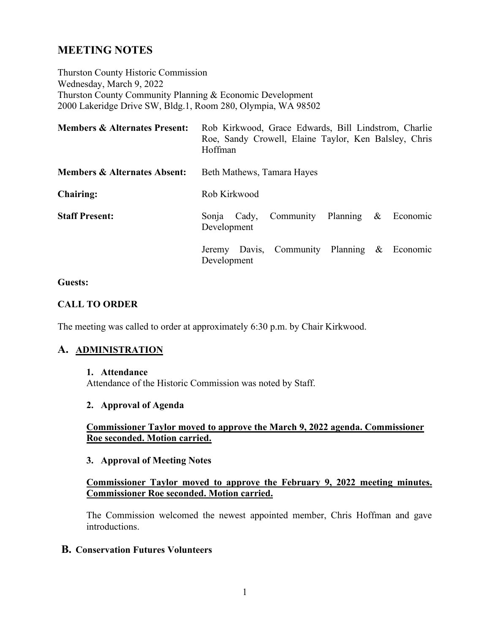# **MEETING NOTES**

Thurston County Historic Commission Wednesday, March 9, 2022 Thurston County Community Planning & Economic Development 2000 Lakeridge Drive SW, Bldg.1, Room 280, Olympia, WA 98502

| <b>Members &amp; Alternates Present:</b> | Rob Kirkwood, Grace Edwards, Bill Lindstrom, Charlie<br>Roe, Sandy Crowell, Elaine Taylor, Ken Balsley, Chris<br>Hoffman |
|------------------------------------------|--------------------------------------------------------------------------------------------------------------------------|
| <b>Members &amp; Alternates Absent:</b>  | Beth Mathews, Tamara Hayes                                                                                               |
| <b>Chairing:</b>                         | Rob Kirkwood                                                                                                             |
| <b>Staff Present:</b>                    | Community Planning<br>$&\epsilon$ Economic<br>Sonja Cady,<br>Development                                                 |
|                                          | Jeremy Davis, Community Planning & Economic<br>Development                                                               |

#### **Guests:**

### **CALL TO ORDER**

The meeting was called to order at approximately 6:30 p.m. by Chair Kirkwood.

### **A. ADMINISTRATION**

#### **1. Attendance**

Attendance of the Historic Commission was noted by Staff.

### **2. Approval of Agenda**

### **Commissioner Taylor moved to approve the March 9, 2022 agenda. Commissioner Roe seconded. Motion carried.**

#### **3. Approval of Meeting Notes**

### **Commissioner Taylor moved to approve the February 9, 2022 meeting minutes. Commissioner Roe seconded. Motion carried.**

The Commission welcomed the newest appointed member, Chris Hoffman and gave introductions.

### **B. Conservation Futures Volunteers**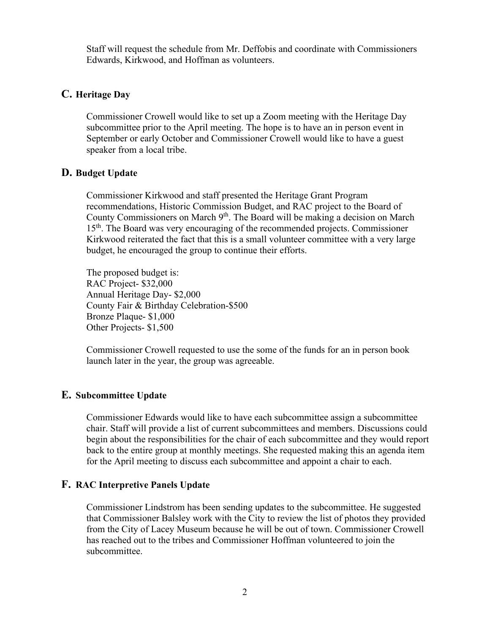Staff will request the schedule from Mr. Deffobis and coordinate with Commissioners Edwards, Kirkwood, and Hoffman as volunteers.

### **C. Heritage Day**

Commissioner Crowell would like to set up a Zoom meeting with the Heritage Day subcommittee prior to the April meeting. The hope is to have an in person event in September or early October and Commissioner Crowell would like to have a guest speaker from a local tribe.

### **D. Budget Update**

Commissioner Kirkwood and staff presented the Heritage Grant Program recommendations, Historic Commission Budget, and RAC project to the Board of County Commissioners on March  $9<sup>th</sup>$ . The Board will be making a decision on March 15<sup>th</sup>. The Board was very encouraging of the recommended projects. Commissioner Kirkwood reiterated the fact that this is a small volunteer committee with a very large budget, he encouraged the group to continue their efforts.

The proposed budget is: RAC Project- \$32,000 Annual Heritage Day- \$2,000 County Fair & Birthday Celebration-\$500 Bronze Plaque- \$1,000 Other Projects- \$1,500

Commissioner Crowell requested to use the some of the funds for an in person book launch later in the year, the group was agreeable.

### **E. Subcommittee Update**

Commissioner Edwards would like to have each subcommittee assign a subcommittee chair. Staff will provide a list of current subcommittees and members. Discussions could begin about the responsibilities for the chair of each subcommittee and they would report back to the entire group at monthly meetings. She requested making this an agenda item for the April meeting to discuss each subcommittee and appoint a chair to each.

### **F. RAC Interpretive Panels Update**

Commissioner Lindstrom has been sending updates to the subcommittee. He suggested that Commissioner Balsley work with the City to review the list of photos they provided from the City of Lacey Museum because he will be out of town. Commissioner Crowell has reached out to the tribes and Commissioner Hoffman volunteered to join the subcommittee.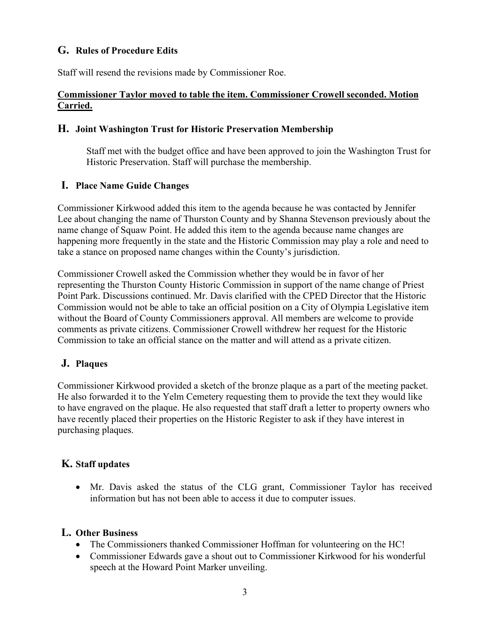# **G. Rules of Procedure Edits**

Staff will resend the revisions made by Commissioner Roe.

### **Commissioner Taylor moved to table the item. Commissioner Crowell seconded. Motion Carried.**

### **H. Joint Washington Trust for Historic Preservation Membership**

Staff met with the budget office and have been approved to join the Washington Trust for Historic Preservation. Staff will purchase the membership.

### **I. Place Name Guide Changes**

Commissioner Kirkwood added this item to the agenda because he was contacted by Jennifer Lee about changing the name of Thurston County and by Shanna Stevenson previously about the name change of Squaw Point. He added this item to the agenda because name changes are happening more frequently in the state and the Historic Commission may play a role and need to take a stance on proposed name changes within the County's jurisdiction.

Commissioner Crowell asked the Commission whether they would be in favor of her representing the Thurston County Historic Commission in support of the name change of Priest Point Park. Discussions continued. Mr. Davis clarified with the CPED Director that the Historic Commission would not be able to take an official position on a City of Olympia Legislative item without the Board of County Commissioners approval. All members are welcome to provide comments as private citizens. Commissioner Crowell withdrew her request for the Historic Commission to take an official stance on the matter and will attend as a private citizen.

## **J. Plaques**

Commissioner Kirkwood provided a sketch of the bronze plaque as a part of the meeting packet. He also forwarded it to the Yelm Cemetery requesting them to provide the text they would like to have engraved on the plaque. He also requested that staff draft a letter to property owners who have recently placed their properties on the Historic Register to ask if they have interest in purchasing plaques.

## **K. Staff updates**

• Mr. Davis asked the status of the CLG grant, Commissioner Taylor has received information but has not been able to access it due to computer issues.

### **L. Other Business**

- The Commissioners thanked Commissioner Hoffman for volunteering on the HC!
- Commissioner Edwards gave a shout out to Commissioner Kirkwood for his wonderful speech at the Howard Point Marker unveiling.